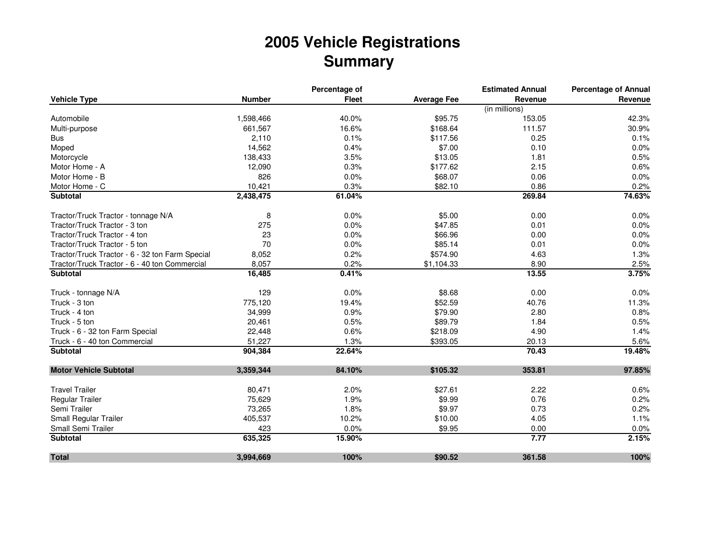## **2005 Vehicle RegistrationsSummary**

|                                                 |               | Percentage of |                    | <b>Estimated Annual</b> | <b>Percentage of Annual</b> |
|-------------------------------------------------|---------------|---------------|--------------------|-------------------------|-----------------------------|
| <b>Vehicle Type</b>                             | <b>Number</b> | <b>Fleet</b>  | <b>Average Fee</b> | Revenue                 | Revenue                     |
|                                                 |               |               |                    | (in millions)           |                             |
| Automobile                                      | 1,598,466     | 40.0%         | \$95.75            | 153.05                  | 42.3%                       |
| Multi-purpose                                   | 661,567       | 16.6%         | \$168.64           | 111.57                  | 30.9%                       |
| <b>Bus</b>                                      | 2,110         | 0.1%          | \$117.56           | 0.25                    | 0.1%                        |
| Moped                                           | 14,562        | 0.4%          | \$7.00             | 0.10                    | 0.0%                        |
| Motorcycle                                      | 138,433       | 3.5%          | \$13.05            | 1.81                    | 0.5%                        |
| Motor Home - A                                  | 12,090        | 0.3%          | \$177.62           | 2.15                    | 0.6%                        |
| Motor Home - B                                  | 826           | 0.0%          | \$68.07            | 0.06                    | 0.0%                        |
| Motor Home - C                                  | 10,421        | 0.3%          | \$82.10            | 0.86                    | 0.2%                        |
| <b>Subtotal</b>                                 | 2,438,475     | 61.04%        |                    | 269.84                  | 74.63%                      |
| Tractor/Truck Tractor - tonnage N/A             | 8             | 0.0%          | \$5.00             | 0.00                    | 0.0%                        |
| Tractor/Truck Tractor - 3 ton                   | 275           | 0.0%          | \$47.85            | 0.01                    | 0.0%                        |
| Tractor/Truck Tractor - 4 ton                   | 23            | 0.0%          | \$66.96            | 0.00                    | 0.0%                        |
| Tractor/Truck Tractor - 5 ton                   | 70            | 0.0%          | \$85.14            | 0.01                    | 0.0%                        |
| Tractor/Truck Tractor - 6 - 32 ton Farm Special | 8,052         | 0.2%          | \$574.90           | 4.63                    | 1.3%                        |
| Tractor/Truck Tractor - 6 - 40 ton Commercial   | 8,057         | 0.2%          | \$1,104.33         | 8.90                    | 2.5%                        |
| <b>Subtotal</b>                                 | 16,485        | 0.41%         |                    | 13.55                   | 3.75%                       |
| Truck - tonnage N/A                             | 129           | 0.0%          | \$8.68             | 0.00                    | 0.0%                        |
| Truck - 3 ton                                   | 775,120       | 19.4%         | \$52.59            | 40.76                   | 11.3%                       |
| Truck - 4 ton                                   | 34,999        | 0.9%          | \$79.90            | 2.80                    | 0.8%                        |
| Truck - 5 ton                                   | 20,461        | 0.5%          | \$89.79            | 1.84                    | 0.5%                        |
| Truck - 6 - 32 ton Farm Special                 | 22,448        | 0.6%          | \$218.09           | 4.90                    | 1.4%                        |
| Truck - 6 - 40 ton Commercial                   | 51,227        | 1.3%          | \$393.05           | 20.13                   | 5.6%                        |
| <b>Subtotal</b>                                 | 904,384       | 22.64%        |                    | 70.43                   | 19.48%                      |
| <b>Motor Vehicle Subtotal</b>                   | 3,359,344     | 84.10%        | \$105.32           | 353.81                  | 97.85%                      |
|                                                 |               |               |                    |                         |                             |
| <b>Travel Trailer</b>                           | 80,471        | 2.0%          | \$27.61            | 2.22                    | 0.6%                        |
| Regular Trailer                                 | 75,629        | 1.9%          | \$9.99             | 0.76                    | 0.2%                        |
| Semi Trailer                                    | 73,265        | 1.8%          | \$9.97             | 0.73                    | 0.2%                        |
| Small Regular Trailer                           | 405,537       | 10.2%         | \$10.00            | 4.05                    | 1.1%                        |
| Small Semi Trailer                              | 423           | 0.0%          | \$9.95             | 0.00                    | 0.0%                        |
| <b>Subtotal</b>                                 | 635,325       | 15.90%        |                    | 7.77                    | 2.15%                       |
| <b>Total</b>                                    | 3,994,669     | 100%          | \$90.52            | 361.58                  | 100%                        |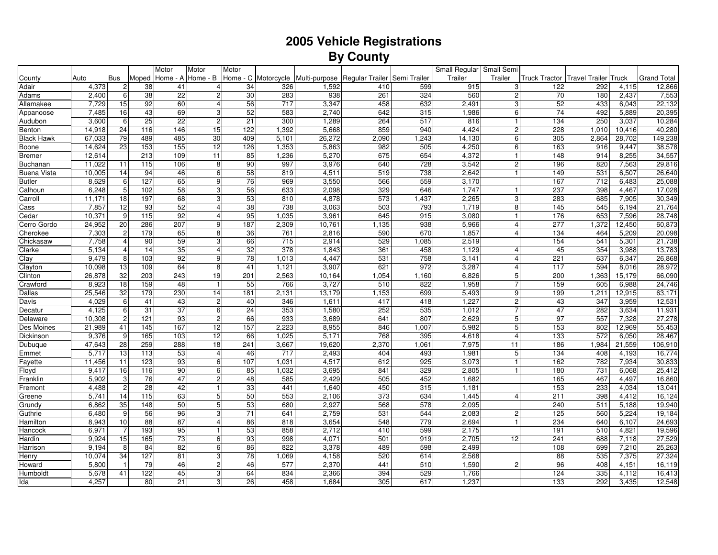## **2005 Vehicle RegistrationsBy County**

| Home - A Home - B<br>Home - C Motorcycle<br>Trailer<br><b>Bus</b><br>Trailer<br><b>Grand Total</b><br>County<br>Auto<br>Moped<br>Multi-purpose<br>Regular Trailer<br>Semi Trailer<br><b>Truck Tractor</b><br>Travel Trailer <sup>1</sup><br>Fruck<br>38<br>41<br>34<br>326<br>1,592<br>599<br>915<br>122<br>292<br>12,866<br>4,373<br>410<br>3 <sup>1</sup><br>4,115<br>2<br>$\overline{4}$<br>38<br>22<br>$\mathbf 2$<br>30<br>938<br>324<br>560<br>$\overline{2}$<br>70<br>7,553<br>2,400<br>6<br>283<br>261<br>180<br>2,437<br>$\overline{4}$<br>3,347<br>52<br>7,729<br>15<br>92<br>60<br>56<br>717<br>458<br>632<br>2,491<br>22,132<br>3<br>433<br>6,043<br>7,485<br>43<br>3<br>52<br>583<br>2,740<br>74<br>20,395<br>16<br>69<br>642<br>315<br>1,986<br>$6 \overline{6}$<br>492<br>5,889<br>$\overline{25}$<br>6<br>22<br>$\mathbf 2$<br>21<br>1,289<br>517<br>816<br>250<br>3,037<br>10,284<br>3,600<br>300<br>264<br>134<br>$\mathbf{1}$<br>40,280<br>15<br>122<br>5,668<br>859<br>4,424<br>228<br>14,918<br>24<br>116<br>146<br>1,392<br>940<br>$\overline{2}$<br>1,010<br>10,416<br>79<br>489<br>485<br>30<br>409<br>26,272<br>2,090<br>1,243<br>305<br>28,702<br>149,238<br>67,033<br>5,101<br>14,130<br>$6 \overline{6}$<br>2,864<br>14,624<br>23<br>153<br>155<br>12<br>5,863<br>982<br>4,250<br>163<br>38,578<br>126<br>1,353<br>505<br>6<br>916<br>9,447<br>213<br>109<br>85<br>5,270<br>675<br>654<br>4,372<br>8,255<br>34,557<br>12,614<br>11<br>1,236<br>148<br>914<br>-1<br>90<br>997<br>3,976<br>640<br>728<br>3,542<br>2 <sup>1</sup><br>196<br>820<br>7,563<br>29,816<br>11,022<br>11<br>115<br>106<br>8<br>6<br>58<br>14<br>94<br>46<br>819<br>4,511<br>519<br>738<br>2,642<br>149<br>531<br>6,507<br>26,640<br>10,005<br>8,629<br>127<br>9<br>76<br>3,550<br>566<br>559<br>3,170<br>167<br>712<br>25,088<br>6<br>65<br>969<br>6,483<br><b>Butler</b><br>$5\overline{)}$<br>56<br>329<br>237<br>398<br>6,248<br>102<br>58<br>3<br>633<br>2,098<br>646<br>1,747<br>4,467<br>17,028<br>3<br>53<br>573<br>18<br>197<br>68<br>4,878<br>1,437<br>2,265<br>$\overline{3}$<br>283<br>685<br>7,905<br>30,349<br>11,171<br>810<br>Carroll<br>12<br>93<br>52<br>38<br>738<br>3,063<br>21,764<br>7,857<br>$\overline{4}$<br>503<br>793<br>1,719<br>145<br>545<br>6,194<br>Cass<br>8<br>95<br>10,371<br>9<br>$\frac{115}{115}$<br>92<br>$\overline{4}$<br>3,961<br>645<br>915<br>3,080<br>176<br>653<br>7,596<br>28,748<br>1,035<br>Cedar<br>286<br>207<br>9<br>187<br>277<br>60,873<br>24,952<br>20<br>2,309<br>10,761<br>1,135<br>938<br>5,966<br>1,372<br>12,450<br>Cerro Gordo<br>$\overline{4}$<br>$\sqrt{2}$<br>8<br>36<br>7,303<br>179<br>65<br>761<br>2,816<br>590<br>670<br>1,857<br>134<br>464<br>5,209<br>20,098<br>Cherokee<br>$\overline{4}$<br>7,758<br>90<br>59<br>3<br>66<br>715<br>2,914<br>529<br>2,519<br>154<br>541<br>21,738<br>Chickasaw<br>4<br>1,085<br>5,301<br>32<br>$\overline{378}$<br>5,134<br>14<br>35<br>$\overline{4}$<br>1,843<br>361<br>458<br>1,129<br>45<br>354<br>3,988<br>13,783<br>Clarke<br>$\overline{4}$<br>4<br>9<br>78<br>Clay<br>9,479<br>8<br>103<br>92<br>1,013<br>4,447<br>531<br>758<br>3,141<br>221<br>637<br>6,347<br>26,868<br>4<br>13<br>8<br>3,287<br>10,098<br>109<br>64<br>41<br>1,121<br>3,907<br>621<br>972<br>117<br>594<br>8,016<br>28,972<br>Clayton<br>4<br>32<br>26,878<br>203<br>243<br>19<br>201<br>2,563<br>10,164<br>1,054<br>6,826<br>5<br>200<br>1,363<br>15,179<br>66,090<br>Clinton<br>1,160<br>55<br>3,727<br>1,958<br>8,923<br>$\overline{18}$<br>159<br>48<br>766<br>510<br>822<br>159<br>605<br>6,988<br>24,746<br>$\mathbf{1}$<br>Crawford<br>63,171<br>25,546<br>32<br>179<br>230<br>14<br>181<br>2,131<br>13,179<br>1,153<br>699<br>5,493<br>9<br>199<br>12,915<br>1,211<br>Dallas<br>$\mathbf 2$<br>4,029<br>6<br>43<br>40<br>1,611<br>417<br>418<br>1,227<br>$\overline{c}$<br>43<br>347<br>3,959<br>12,531<br>41<br>346<br>Davis<br>6<br>31<br>37<br>24<br>47<br>4,125<br>6<br>353<br>1,580<br>252<br>535<br>1,012<br>282<br>11,931<br>3,634<br>Decatur<br>$\overline{\mathbf{c}}$<br>93<br>$\sqrt{2}$<br>3,689<br>2,629<br>97<br>27,278<br>10,308<br>121<br>66<br>933<br>641<br>807<br>5 <sup>1</sup><br>557<br>7,328<br>Delaware<br>167<br>157<br>55,453<br>21,989<br>41<br>145<br>12<br>2,223<br>8,955<br>5,982<br>5<br>153<br>Des Moines<br>846<br>1,007<br>802<br>12,969<br>5,171<br>9,376<br>9<br>165<br>103<br>12<br>66<br>768<br>395<br>4,618<br>$\overline{4}$<br>133<br>572<br>6,050<br>28,467<br>1,025<br>Dickinson<br>47,643<br>$\overline{28}$<br>259<br>288<br>18<br>19,620<br>2,370<br>7,975<br>21,559<br>106,910<br>241<br>3,667<br>1,061<br>11<br>186<br>1,984<br>Dubuque<br>53<br>5,717<br>13<br>113<br>$\overline{4}$<br>717<br>2,493<br>404<br>493<br>1,981<br>134<br>4,193<br>16,774<br>46<br>$5\phantom{.0}$<br>408<br>Emmet<br>123<br>93<br>6<br>107<br>4,517<br>612<br>925<br>3,073<br>162<br>7,934<br>30,833<br>11,456<br>11<br>1,031<br>$\mathbf{1}$<br>782<br>Fayette<br>90<br>6<br>85<br>3,695<br>841<br>329<br>2,805<br>180<br>731<br>25,412<br>Floyd<br>9,417<br>16<br>116<br>1,032<br>6,068<br>2,429<br>5,902<br>$\mathbf{3}$<br>76<br>47<br>$\mathbf 2$<br>48<br>585<br>505<br>452<br>1,682<br>165<br>467<br>4,497<br>16,860<br>Franklin<br>$\overline{c}$<br>28<br>42<br>33<br>450<br>153<br>233<br>13,041<br>4,488<br>441<br>1,640<br>315<br>1,181<br>4,034<br>$\mathbf{1}$<br>Fremont<br>5,741<br>14<br>115<br>63<br>5<br>50<br>553<br>2,106<br>373<br>634<br>1,445<br>211<br>398<br>16,124<br>$\overline{4}$<br>4,412<br>Greene<br>35<br>50<br>5<br>53<br>2,927<br>568<br>2,095<br>511<br>19,940<br>6,862<br>148<br>680<br>578<br>240<br>5,188<br>Grundy<br>9<br>56<br>71<br>2,759<br>6,480<br>96<br>3<br>641<br>531<br>544<br>2,083<br>2 <sup>1</sup><br>125<br>560<br>5,224<br>19,184<br>Guthrie<br>88<br>87<br>$\overline{4}$<br>86<br>3,654<br>2,694<br>234<br>24,693<br>8,943<br>10<br>818<br>548<br>779<br>640<br>6,107<br>Hamilton<br>193<br>53<br>6,971<br>$\overline{7}$<br>95<br>858<br>2,712<br>410<br>599<br>2,175<br>191<br>510<br>4,821<br>19,596<br>Hancock<br>$\mathbf{1}$<br>73<br>27,529<br>15<br>165<br>6<br>93<br>998<br>4,071<br>501<br>2,705<br>241<br>7,118<br>9,924<br>919<br>12<br>688<br>Hardin<br>6<br>9,194<br>8<br>84<br>82<br>86<br>3,378<br>489<br>598<br>2,499<br>108<br>699<br>7,210<br>25,263<br>822<br>Harrison<br>34<br>127<br>78<br>27,324<br>10,074<br>81<br>3<br>4,158<br>520<br>2,568<br>88<br>535<br>7,375<br>Henry<br>1,069<br>614<br>5,800<br>79<br>$\overline{c}$<br>46<br>2,370<br>1,590<br>96<br>$\mathbf{1}$<br>46<br>577<br>441<br>510<br>$\overline{2}$<br>408<br>4,151<br>16,119<br>Howard<br>122<br>45<br>3<br>64<br>2,366<br>394<br>16,413<br>Humboldt<br>5,678<br>41<br>834<br>529<br>1,766<br>124<br>335<br>4,112<br>21<br>3<br>1,237<br>292<br>12,548<br>4,257<br>80<br>26<br>458<br>1,684<br>305<br>617<br>133<br>3,435<br>lda |                    |  | Motor | Motor | Motor |  |  | Small Regular Small Semi |  |  |  |
|------------------------------------------------------------------------------------------------------------------------------------------------------------------------------------------------------------------------------------------------------------------------------------------------------------------------------------------------------------------------------------------------------------------------------------------------------------------------------------------------------------------------------------------------------------------------------------------------------------------------------------------------------------------------------------------------------------------------------------------------------------------------------------------------------------------------------------------------------------------------------------------------------------------------------------------------------------------------------------------------------------------------------------------------------------------------------------------------------------------------------------------------------------------------------------------------------------------------------------------------------------------------------------------------------------------------------------------------------------------------------------------------------------------------------------------------------------------------------------------------------------------------------------------------------------------------------------------------------------------------------------------------------------------------------------------------------------------------------------------------------------------------------------------------------------------------------------------------------------------------------------------------------------------------------------------------------------------------------------------------------------------------------------------------------------------------------------------------------------------------------------------------------------------------------------------------------------------------------------------------------------------------------------------------------------------------------------------------------------------------------------------------------------------------------------------------------------------------------------------------------------------------------------------------------------------------------------------------------------------------------------------------------------------------------------------------------------------------------------------------------------------------------------------------------------------------------------------------------------------------------------------------------------------------------------------------------------------------------------------------------------------------------------------------------------------------------------------------------------------------------------------------------------------------------------------------------------------------------------------------------------------------------------------------------------------------------------------------------------------------------------------------------------------------------------------------------------------------------------------------------------------------------------------------------------------------------------------------------------------------------------------------------------------------------------------------------------------------------------------------------------------------------------------------------------------------------------------------------------------------------------------------------------------------------------------------------------------------------------------------------------------------------------------------------------------------------------------------------------------------------------------------------------------------------------------------------------------------------------------------------------------------------------------------------------------------------------------------------------------------------------------------------------------------------------------------------------------------------------------------------------------------------------------------------------------------------------------------------------------------------------------------------------------------------------------------------------------------------------------------------------------------------------------------------------------------------------------------------------------------------------------------------------------------------------------------------------------------------------------------------------------------------------------------------------------------------------------------------------------------------------------------------------------------------------------------------------------------------------------------------------------------------------------------------------------------------------------------------------------------------------------------------------------------------------------------------------------------------------------------------------------------------------------------------------------------------------------------------------------------------------------------------------------------------------------------------------------------------------------------------------------------------------------------------------------------------------------------------------------------------------------------------------------------------------------------------------------------------------------------------------------------------------------------------------------------------------------------------------------------------------------------------------------------------------------------------------------------------------------------------------------------------------------------------------------------------------------------------------------------------------------------------------------------------------------------------------------------------------------------------------------------------------------------------------------------------------------------------------------------------------------------------------------------------------------------------------------------------------------------------------------------------------------------------------------------------------------------------------------------------------------------------------------------|--------------------|--|-------|-------|-------|--|--|--------------------------|--|--|--|
|                                                                                                                                                                                                                                                                                                                                                                                                                                                                                                                                                                                                                                                                                                                                                                                                                                                                                                                                                                                                                                                                                                                                                                                                                                                                                                                                                                                                                                                                                                                                                                                                                                                                                                                                                                                                                                                                                                                                                                                                                                                                                                                                                                                                                                                                                                                                                                                                                                                                                                                                                                                                                                                                                                                                                                                                                                                                                                                                                                                                                                                                                                                                                                                                                                                                                                                                                                                                                                                                                                                                                                                                                                                                                                                                                                                                                                                                                                                                                                                                                                                                                                                                                                                                                                                                                                                                                                                                                                                                                                                                                                                                                                                                                                                                                                                                                                                                                                                                                                                                                                                                                                                                                                                                                                                                                                                                                                                                                                                                                                                                                                                                                                                                                                                                                                                                                                                                                                                                                                                                                                                                                                                                                                                                                                                                                                                                                                                                                                                                                                                                                                                                                                                                                                                                                                                                                                                                                                                        |                    |  |       |       |       |  |  |                          |  |  |  |
|                                                                                                                                                                                                                                                                                                                                                                                                                                                                                                                                                                                                                                                                                                                                                                                                                                                                                                                                                                                                                                                                                                                                                                                                                                                                                                                                                                                                                                                                                                                                                                                                                                                                                                                                                                                                                                                                                                                                                                                                                                                                                                                                                                                                                                                                                                                                                                                                                                                                                                                                                                                                                                                                                                                                                                                                                                                                                                                                                                                                                                                                                                                                                                                                                                                                                                                                                                                                                                                                                                                                                                                                                                                                                                                                                                                                                                                                                                                                                                                                                                                                                                                                                                                                                                                                                                                                                                                                                                                                                                                                                                                                                                                                                                                                                                                                                                                                                                                                                                                                                                                                                                                                                                                                                                                                                                                                                                                                                                                                                                                                                                                                                                                                                                                                                                                                                                                                                                                                                                                                                                                                                                                                                                                                                                                                                                                                                                                                                                                                                                                                                                                                                                                                                                                                                                                                                                                                                                                        | Adair              |  |       |       |       |  |  |                          |  |  |  |
|                                                                                                                                                                                                                                                                                                                                                                                                                                                                                                                                                                                                                                                                                                                                                                                                                                                                                                                                                                                                                                                                                                                                                                                                                                                                                                                                                                                                                                                                                                                                                                                                                                                                                                                                                                                                                                                                                                                                                                                                                                                                                                                                                                                                                                                                                                                                                                                                                                                                                                                                                                                                                                                                                                                                                                                                                                                                                                                                                                                                                                                                                                                                                                                                                                                                                                                                                                                                                                                                                                                                                                                                                                                                                                                                                                                                                                                                                                                                                                                                                                                                                                                                                                                                                                                                                                                                                                                                                                                                                                                                                                                                                                                                                                                                                                                                                                                                                                                                                                                                                                                                                                                                                                                                                                                                                                                                                                                                                                                                                                                                                                                                                                                                                                                                                                                                                                                                                                                                                                                                                                                                                                                                                                                                                                                                                                                                                                                                                                                                                                                                                                                                                                                                                                                                                                                                                                                                                                                        | Adams              |  |       |       |       |  |  |                          |  |  |  |
|                                                                                                                                                                                                                                                                                                                                                                                                                                                                                                                                                                                                                                                                                                                                                                                                                                                                                                                                                                                                                                                                                                                                                                                                                                                                                                                                                                                                                                                                                                                                                                                                                                                                                                                                                                                                                                                                                                                                                                                                                                                                                                                                                                                                                                                                                                                                                                                                                                                                                                                                                                                                                                                                                                                                                                                                                                                                                                                                                                                                                                                                                                                                                                                                                                                                                                                                                                                                                                                                                                                                                                                                                                                                                                                                                                                                                                                                                                                                                                                                                                                                                                                                                                                                                                                                                                                                                                                                                                                                                                                                                                                                                                                                                                                                                                                                                                                                                                                                                                                                                                                                                                                                                                                                                                                                                                                                                                                                                                                                                                                                                                                                                                                                                                                                                                                                                                                                                                                                                                                                                                                                                                                                                                                                                                                                                                                                                                                                                                                                                                                                                                                                                                                                                                                                                                                                                                                                                                                        | Allamakee          |  |       |       |       |  |  |                          |  |  |  |
|                                                                                                                                                                                                                                                                                                                                                                                                                                                                                                                                                                                                                                                                                                                                                                                                                                                                                                                                                                                                                                                                                                                                                                                                                                                                                                                                                                                                                                                                                                                                                                                                                                                                                                                                                                                                                                                                                                                                                                                                                                                                                                                                                                                                                                                                                                                                                                                                                                                                                                                                                                                                                                                                                                                                                                                                                                                                                                                                                                                                                                                                                                                                                                                                                                                                                                                                                                                                                                                                                                                                                                                                                                                                                                                                                                                                                                                                                                                                                                                                                                                                                                                                                                                                                                                                                                                                                                                                                                                                                                                                                                                                                                                                                                                                                                                                                                                                                                                                                                                                                                                                                                                                                                                                                                                                                                                                                                                                                                                                                                                                                                                                                                                                                                                                                                                                                                                                                                                                                                                                                                                                                                                                                                                                                                                                                                                                                                                                                                                                                                                                                                                                                                                                                                                                                                                                                                                                                                                        | Appanoose          |  |       |       |       |  |  |                          |  |  |  |
|                                                                                                                                                                                                                                                                                                                                                                                                                                                                                                                                                                                                                                                                                                                                                                                                                                                                                                                                                                                                                                                                                                                                                                                                                                                                                                                                                                                                                                                                                                                                                                                                                                                                                                                                                                                                                                                                                                                                                                                                                                                                                                                                                                                                                                                                                                                                                                                                                                                                                                                                                                                                                                                                                                                                                                                                                                                                                                                                                                                                                                                                                                                                                                                                                                                                                                                                                                                                                                                                                                                                                                                                                                                                                                                                                                                                                                                                                                                                                                                                                                                                                                                                                                                                                                                                                                                                                                                                                                                                                                                                                                                                                                                                                                                                                                                                                                                                                                                                                                                                                                                                                                                                                                                                                                                                                                                                                                                                                                                                                                                                                                                                                                                                                                                                                                                                                                                                                                                                                                                                                                                                                                                                                                                                                                                                                                                                                                                                                                                                                                                                                                                                                                                                                                                                                                                                                                                                                                                        | Audubon            |  |       |       |       |  |  |                          |  |  |  |
|                                                                                                                                                                                                                                                                                                                                                                                                                                                                                                                                                                                                                                                                                                                                                                                                                                                                                                                                                                                                                                                                                                                                                                                                                                                                                                                                                                                                                                                                                                                                                                                                                                                                                                                                                                                                                                                                                                                                                                                                                                                                                                                                                                                                                                                                                                                                                                                                                                                                                                                                                                                                                                                                                                                                                                                                                                                                                                                                                                                                                                                                                                                                                                                                                                                                                                                                                                                                                                                                                                                                                                                                                                                                                                                                                                                                                                                                                                                                                                                                                                                                                                                                                                                                                                                                                                                                                                                                                                                                                                                                                                                                                                                                                                                                                                                                                                                                                                                                                                                                                                                                                                                                                                                                                                                                                                                                                                                                                                                                                                                                                                                                                                                                                                                                                                                                                                                                                                                                                                                                                                                                                                                                                                                                                                                                                                                                                                                                                                                                                                                                                                                                                                                                                                                                                                                                                                                                                                                        | Benton             |  |       |       |       |  |  |                          |  |  |  |
|                                                                                                                                                                                                                                                                                                                                                                                                                                                                                                                                                                                                                                                                                                                                                                                                                                                                                                                                                                                                                                                                                                                                                                                                                                                                                                                                                                                                                                                                                                                                                                                                                                                                                                                                                                                                                                                                                                                                                                                                                                                                                                                                                                                                                                                                                                                                                                                                                                                                                                                                                                                                                                                                                                                                                                                                                                                                                                                                                                                                                                                                                                                                                                                                                                                                                                                                                                                                                                                                                                                                                                                                                                                                                                                                                                                                                                                                                                                                                                                                                                                                                                                                                                                                                                                                                                                                                                                                                                                                                                                                                                                                                                                                                                                                                                                                                                                                                                                                                                                                                                                                                                                                                                                                                                                                                                                                                                                                                                                                                                                                                                                                                                                                                                                                                                                                                                                                                                                                                                                                                                                                                                                                                                                                                                                                                                                                                                                                                                                                                                                                                                                                                                                                                                                                                                                                                                                                                                                        | <b>Black Hawk</b>  |  |       |       |       |  |  |                          |  |  |  |
|                                                                                                                                                                                                                                                                                                                                                                                                                                                                                                                                                                                                                                                                                                                                                                                                                                                                                                                                                                                                                                                                                                                                                                                                                                                                                                                                                                                                                                                                                                                                                                                                                                                                                                                                                                                                                                                                                                                                                                                                                                                                                                                                                                                                                                                                                                                                                                                                                                                                                                                                                                                                                                                                                                                                                                                                                                                                                                                                                                                                                                                                                                                                                                                                                                                                                                                                                                                                                                                                                                                                                                                                                                                                                                                                                                                                                                                                                                                                                                                                                                                                                                                                                                                                                                                                                                                                                                                                                                                                                                                                                                                                                                                                                                                                                                                                                                                                                                                                                                                                                                                                                                                                                                                                                                                                                                                                                                                                                                                                                                                                                                                                                                                                                                                                                                                                                                                                                                                                                                                                                                                                                                                                                                                                                                                                                                                                                                                                                                                                                                                                                                                                                                                                                                                                                                                                                                                                                                                        | Boone              |  |       |       |       |  |  |                          |  |  |  |
|                                                                                                                                                                                                                                                                                                                                                                                                                                                                                                                                                                                                                                                                                                                                                                                                                                                                                                                                                                                                                                                                                                                                                                                                                                                                                                                                                                                                                                                                                                                                                                                                                                                                                                                                                                                                                                                                                                                                                                                                                                                                                                                                                                                                                                                                                                                                                                                                                                                                                                                                                                                                                                                                                                                                                                                                                                                                                                                                                                                                                                                                                                                                                                                                                                                                                                                                                                                                                                                                                                                                                                                                                                                                                                                                                                                                                                                                                                                                                                                                                                                                                                                                                                                                                                                                                                                                                                                                                                                                                                                                                                                                                                                                                                                                                                                                                                                                                                                                                                                                                                                                                                                                                                                                                                                                                                                                                                                                                                                                                                                                                                                                                                                                                                                                                                                                                                                                                                                                                                                                                                                                                                                                                                                                                                                                                                                                                                                                                                                                                                                                                                                                                                                                                                                                                                                                                                                                                                                        | <b>Bremer</b>      |  |       |       |       |  |  |                          |  |  |  |
|                                                                                                                                                                                                                                                                                                                                                                                                                                                                                                                                                                                                                                                                                                                                                                                                                                                                                                                                                                                                                                                                                                                                                                                                                                                                                                                                                                                                                                                                                                                                                                                                                                                                                                                                                                                                                                                                                                                                                                                                                                                                                                                                                                                                                                                                                                                                                                                                                                                                                                                                                                                                                                                                                                                                                                                                                                                                                                                                                                                                                                                                                                                                                                                                                                                                                                                                                                                                                                                                                                                                                                                                                                                                                                                                                                                                                                                                                                                                                                                                                                                                                                                                                                                                                                                                                                                                                                                                                                                                                                                                                                                                                                                                                                                                                                                                                                                                                                                                                                                                                                                                                                                                                                                                                                                                                                                                                                                                                                                                                                                                                                                                                                                                                                                                                                                                                                                                                                                                                                                                                                                                                                                                                                                                                                                                                                                                                                                                                                                                                                                                                                                                                                                                                                                                                                                                                                                                                                                        | Buchanan           |  |       |       |       |  |  |                          |  |  |  |
|                                                                                                                                                                                                                                                                                                                                                                                                                                                                                                                                                                                                                                                                                                                                                                                                                                                                                                                                                                                                                                                                                                                                                                                                                                                                                                                                                                                                                                                                                                                                                                                                                                                                                                                                                                                                                                                                                                                                                                                                                                                                                                                                                                                                                                                                                                                                                                                                                                                                                                                                                                                                                                                                                                                                                                                                                                                                                                                                                                                                                                                                                                                                                                                                                                                                                                                                                                                                                                                                                                                                                                                                                                                                                                                                                                                                                                                                                                                                                                                                                                                                                                                                                                                                                                                                                                                                                                                                                                                                                                                                                                                                                                                                                                                                                                                                                                                                                                                                                                                                                                                                                                                                                                                                                                                                                                                                                                                                                                                                                                                                                                                                                                                                                                                                                                                                                                                                                                                                                                                                                                                                                                                                                                                                                                                                                                                                                                                                                                                                                                                                                                                                                                                                                                                                                                                                                                                                                                                        | <b>Buena Vista</b> |  |       |       |       |  |  |                          |  |  |  |
|                                                                                                                                                                                                                                                                                                                                                                                                                                                                                                                                                                                                                                                                                                                                                                                                                                                                                                                                                                                                                                                                                                                                                                                                                                                                                                                                                                                                                                                                                                                                                                                                                                                                                                                                                                                                                                                                                                                                                                                                                                                                                                                                                                                                                                                                                                                                                                                                                                                                                                                                                                                                                                                                                                                                                                                                                                                                                                                                                                                                                                                                                                                                                                                                                                                                                                                                                                                                                                                                                                                                                                                                                                                                                                                                                                                                                                                                                                                                                                                                                                                                                                                                                                                                                                                                                                                                                                                                                                                                                                                                                                                                                                                                                                                                                                                                                                                                                                                                                                                                                                                                                                                                                                                                                                                                                                                                                                                                                                                                                                                                                                                                                                                                                                                                                                                                                                                                                                                                                                                                                                                                                                                                                                                                                                                                                                                                                                                                                                                                                                                                                                                                                                                                                                                                                                                                                                                                                                                        |                    |  |       |       |       |  |  |                          |  |  |  |
|                                                                                                                                                                                                                                                                                                                                                                                                                                                                                                                                                                                                                                                                                                                                                                                                                                                                                                                                                                                                                                                                                                                                                                                                                                                                                                                                                                                                                                                                                                                                                                                                                                                                                                                                                                                                                                                                                                                                                                                                                                                                                                                                                                                                                                                                                                                                                                                                                                                                                                                                                                                                                                                                                                                                                                                                                                                                                                                                                                                                                                                                                                                                                                                                                                                                                                                                                                                                                                                                                                                                                                                                                                                                                                                                                                                                                                                                                                                                                                                                                                                                                                                                                                                                                                                                                                                                                                                                                                                                                                                                                                                                                                                                                                                                                                                                                                                                                                                                                                                                                                                                                                                                                                                                                                                                                                                                                                                                                                                                                                                                                                                                                                                                                                                                                                                                                                                                                                                                                                                                                                                                                                                                                                                                                                                                                                                                                                                                                                                                                                                                                                                                                                                                                                                                                                                                                                                                                                                        | Calhoun            |  |       |       |       |  |  |                          |  |  |  |
|                                                                                                                                                                                                                                                                                                                                                                                                                                                                                                                                                                                                                                                                                                                                                                                                                                                                                                                                                                                                                                                                                                                                                                                                                                                                                                                                                                                                                                                                                                                                                                                                                                                                                                                                                                                                                                                                                                                                                                                                                                                                                                                                                                                                                                                                                                                                                                                                                                                                                                                                                                                                                                                                                                                                                                                                                                                                                                                                                                                                                                                                                                                                                                                                                                                                                                                                                                                                                                                                                                                                                                                                                                                                                                                                                                                                                                                                                                                                                                                                                                                                                                                                                                                                                                                                                                                                                                                                                                                                                                                                                                                                                                                                                                                                                                                                                                                                                                                                                                                                                                                                                                                                                                                                                                                                                                                                                                                                                                                                                                                                                                                                                                                                                                                                                                                                                                                                                                                                                                                                                                                                                                                                                                                                                                                                                                                                                                                                                                                                                                                                                                                                                                                                                                                                                                                                                                                                                                                        |                    |  |       |       |       |  |  |                          |  |  |  |
|                                                                                                                                                                                                                                                                                                                                                                                                                                                                                                                                                                                                                                                                                                                                                                                                                                                                                                                                                                                                                                                                                                                                                                                                                                                                                                                                                                                                                                                                                                                                                                                                                                                                                                                                                                                                                                                                                                                                                                                                                                                                                                                                                                                                                                                                                                                                                                                                                                                                                                                                                                                                                                                                                                                                                                                                                                                                                                                                                                                                                                                                                                                                                                                                                                                                                                                                                                                                                                                                                                                                                                                                                                                                                                                                                                                                                                                                                                                                                                                                                                                                                                                                                                                                                                                                                                                                                                                                                                                                                                                                                                                                                                                                                                                                                                                                                                                                                                                                                                                                                                                                                                                                                                                                                                                                                                                                                                                                                                                                                                                                                                                                                                                                                                                                                                                                                                                                                                                                                                                                                                                                                                                                                                                                                                                                                                                                                                                                                                                                                                                                                                                                                                                                                                                                                                                                                                                                                                                        |                    |  |       |       |       |  |  |                          |  |  |  |
|                                                                                                                                                                                                                                                                                                                                                                                                                                                                                                                                                                                                                                                                                                                                                                                                                                                                                                                                                                                                                                                                                                                                                                                                                                                                                                                                                                                                                                                                                                                                                                                                                                                                                                                                                                                                                                                                                                                                                                                                                                                                                                                                                                                                                                                                                                                                                                                                                                                                                                                                                                                                                                                                                                                                                                                                                                                                                                                                                                                                                                                                                                                                                                                                                                                                                                                                                                                                                                                                                                                                                                                                                                                                                                                                                                                                                                                                                                                                                                                                                                                                                                                                                                                                                                                                                                                                                                                                                                                                                                                                                                                                                                                                                                                                                                                                                                                                                                                                                                                                                                                                                                                                                                                                                                                                                                                                                                                                                                                                                                                                                                                                                                                                                                                                                                                                                                                                                                                                                                                                                                                                                                                                                                                                                                                                                                                                                                                                                                                                                                                                                                                                                                                                                                                                                                                                                                                                                                                        |                    |  |       |       |       |  |  |                          |  |  |  |
|                                                                                                                                                                                                                                                                                                                                                                                                                                                                                                                                                                                                                                                                                                                                                                                                                                                                                                                                                                                                                                                                                                                                                                                                                                                                                                                                                                                                                                                                                                                                                                                                                                                                                                                                                                                                                                                                                                                                                                                                                                                                                                                                                                                                                                                                                                                                                                                                                                                                                                                                                                                                                                                                                                                                                                                                                                                                                                                                                                                                                                                                                                                                                                                                                                                                                                                                                                                                                                                                                                                                                                                                                                                                                                                                                                                                                                                                                                                                                                                                                                                                                                                                                                                                                                                                                                                                                                                                                                                                                                                                                                                                                                                                                                                                                                                                                                                                                                                                                                                                                                                                                                                                                                                                                                                                                                                                                                                                                                                                                                                                                                                                                                                                                                                                                                                                                                                                                                                                                                                                                                                                                                                                                                                                                                                                                                                                                                                                                                                                                                                                                                                                                                                                                                                                                                                                                                                                                                                        |                    |  |       |       |       |  |  |                          |  |  |  |
|                                                                                                                                                                                                                                                                                                                                                                                                                                                                                                                                                                                                                                                                                                                                                                                                                                                                                                                                                                                                                                                                                                                                                                                                                                                                                                                                                                                                                                                                                                                                                                                                                                                                                                                                                                                                                                                                                                                                                                                                                                                                                                                                                                                                                                                                                                                                                                                                                                                                                                                                                                                                                                                                                                                                                                                                                                                                                                                                                                                                                                                                                                                                                                                                                                                                                                                                                                                                                                                                                                                                                                                                                                                                                                                                                                                                                                                                                                                                                                                                                                                                                                                                                                                                                                                                                                                                                                                                                                                                                                                                                                                                                                                                                                                                                                                                                                                                                                                                                                                                                                                                                                                                                                                                                                                                                                                                                                                                                                                                                                                                                                                                                                                                                                                                                                                                                                                                                                                                                                                                                                                                                                                                                                                                                                                                                                                                                                                                                                                                                                                                                                                                                                                                                                                                                                                                                                                                                                                        |                    |  |       |       |       |  |  |                          |  |  |  |
|                                                                                                                                                                                                                                                                                                                                                                                                                                                                                                                                                                                                                                                                                                                                                                                                                                                                                                                                                                                                                                                                                                                                                                                                                                                                                                                                                                                                                                                                                                                                                                                                                                                                                                                                                                                                                                                                                                                                                                                                                                                                                                                                                                                                                                                                                                                                                                                                                                                                                                                                                                                                                                                                                                                                                                                                                                                                                                                                                                                                                                                                                                                                                                                                                                                                                                                                                                                                                                                                                                                                                                                                                                                                                                                                                                                                                                                                                                                                                                                                                                                                                                                                                                                                                                                                                                                                                                                                                                                                                                                                                                                                                                                                                                                                                                                                                                                                                                                                                                                                                                                                                                                                                                                                                                                                                                                                                                                                                                                                                                                                                                                                                                                                                                                                                                                                                                                                                                                                                                                                                                                                                                                                                                                                                                                                                                                                                                                                                                                                                                                                                                                                                                                                                                                                                                                                                                                                                                                        |                    |  |       |       |       |  |  |                          |  |  |  |
|                                                                                                                                                                                                                                                                                                                                                                                                                                                                                                                                                                                                                                                                                                                                                                                                                                                                                                                                                                                                                                                                                                                                                                                                                                                                                                                                                                                                                                                                                                                                                                                                                                                                                                                                                                                                                                                                                                                                                                                                                                                                                                                                                                                                                                                                                                                                                                                                                                                                                                                                                                                                                                                                                                                                                                                                                                                                                                                                                                                                                                                                                                                                                                                                                                                                                                                                                                                                                                                                                                                                                                                                                                                                                                                                                                                                                                                                                                                                                                                                                                                                                                                                                                                                                                                                                                                                                                                                                                                                                                                                                                                                                                                                                                                                                                                                                                                                                                                                                                                                                                                                                                                                                                                                                                                                                                                                                                                                                                                                                                                                                                                                                                                                                                                                                                                                                                                                                                                                                                                                                                                                                                                                                                                                                                                                                                                                                                                                                                                                                                                                                                                                                                                                                                                                                                                                                                                                                                                        |                    |  |       |       |       |  |  |                          |  |  |  |
|                                                                                                                                                                                                                                                                                                                                                                                                                                                                                                                                                                                                                                                                                                                                                                                                                                                                                                                                                                                                                                                                                                                                                                                                                                                                                                                                                                                                                                                                                                                                                                                                                                                                                                                                                                                                                                                                                                                                                                                                                                                                                                                                                                                                                                                                                                                                                                                                                                                                                                                                                                                                                                                                                                                                                                                                                                                                                                                                                                                                                                                                                                                                                                                                                                                                                                                                                                                                                                                                                                                                                                                                                                                                                                                                                                                                                                                                                                                                                                                                                                                                                                                                                                                                                                                                                                                                                                                                                                                                                                                                                                                                                                                                                                                                                                                                                                                                                                                                                                                                                                                                                                                                                                                                                                                                                                                                                                                                                                                                                                                                                                                                                                                                                                                                                                                                                                                                                                                                                                                                                                                                                                                                                                                                                                                                                                                                                                                                                                                                                                                                                                                                                                                                                                                                                                                                                                                                                                                        |                    |  |       |       |       |  |  |                          |  |  |  |
|                                                                                                                                                                                                                                                                                                                                                                                                                                                                                                                                                                                                                                                                                                                                                                                                                                                                                                                                                                                                                                                                                                                                                                                                                                                                                                                                                                                                                                                                                                                                                                                                                                                                                                                                                                                                                                                                                                                                                                                                                                                                                                                                                                                                                                                                                                                                                                                                                                                                                                                                                                                                                                                                                                                                                                                                                                                                                                                                                                                                                                                                                                                                                                                                                                                                                                                                                                                                                                                                                                                                                                                                                                                                                                                                                                                                                                                                                                                                                                                                                                                                                                                                                                                                                                                                                                                                                                                                                                                                                                                                                                                                                                                                                                                                                                                                                                                                                                                                                                                                                                                                                                                                                                                                                                                                                                                                                                                                                                                                                                                                                                                                                                                                                                                                                                                                                                                                                                                                                                                                                                                                                                                                                                                                                                                                                                                                                                                                                                                                                                                                                                                                                                                                                                                                                                                                                                                                                                                        |                    |  |       |       |       |  |  |                          |  |  |  |
|                                                                                                                                                                                                                                                                                                                                                                                                                                                                                                                                                                                                                                                                                                                                                                                                                                                                                                                                                                                                                                                                                                                                                                                                                                                                                                                                                                                                                                                                                                                                                                                                                                                                                                                                                                                                                                                                                                                                                                                                                                                                                                                                                                                                                                                                                                                                                                                                                                                                                                                                                                                                                                                                                                                                                                                                                                                                                                                                                                                                                                                                                                                                                                                                                                                                                                                                                                                                                                                                                                                                                                                                                                                                                                                                                                                                                                                                                                                                                                                                                                                                                                                                                                                                                                                                                                                                                                                                                                                                                                                                                                                                                                                                                                                                                                                                                                                                                                                                                                                                                                                                                                                                                                                                                                                                                                                                                                                                                                                                                                                                                                                                                                                                                                                                                                                                                                                                                                                                                                                                                                                                                                                                                                                                                                                                                                                                                                                                                                                                                                                                                                                                                                                                                                                                                                                                                                                                                                                        |                    |  |       |       |       |  |  |                          |  |  |  |
|                                                                                                                                                                                                                                                                                                                                                                                                                                                                                                                                                                                                                                                                                                                                                                                                                                                                                                                                                                                                                                                                                                                                                                                                                                                                                                                                                                                                                                                                                                                                                                                                                                                                                                                                                                                                                                                                                                                                                                                                                                                                                                                                                                                                                                                                                                                                                                                                                                                                                                                                                                                                                                                                                                                                                                                                                                                                                                                                                                                                                                                                                                                                                                                                                                                                                                                                                                                                                                                                                                                                                                                                                                                                                                                                                                                                                                                                                                                                                                                                                                                                                                                                                                                                                                                                                                                                                                                                                                                                                                                                                                                                                                                                                                                                                                                                                                                                                                                                                                                                                                                                                                                                                                                                                                                                                                                                                                                                                                                                                                                                                                                                                                                                                                                                                                                                                                                                                                                                                                                                                                                                                                                                                                                                                                                                                                                                                                                                                                                                                                                                                                                                                                                                                                                                                                                                                                                                                                                        |                    |  |       |       |       |  |  |                          |  |  |  |
|                                                                                                                                                                                                                                                                                                                                                                                                                                                                                                                                                                                                                                                                                                                                                                                                                                                                                                                                                                                                                                                                                                                                                                                                                                                                                                                                                                                                                                                                                                                                                                                                                                                                                                                                                                                                                                                                                                                                                                                                                                                                                                                                                                                                                                                                                                                                                                                                                                                                                                                                                                                                                                                                                                                                                                                                                                                                                                                                                                                                                                                                                                                                                                                                                                                                                                                                                                                                                                                                                                                                                                                                                                                                                                                                                                                                                                                                                                                                                                                                                                                                                                                                                                                                                                                                                                                                                                                                                                                                                                                                                                                                                                                                                                                                                                                                                                                                                                                                                                                                                                                                                                                                                                                                                                                                                                                                                                                                                                                                                                                                                                                                                                                                                                                                                                                                                                                                                                                                                                                                                                                                                                                                                                                                                                                                                                                                                                                                                                                                                                                                                                                                                                                                                                                                                                                                                                                                                                                        |                    |  |       |       |       |  |  |                          |  |  |  |
|                                                                                                                                                                                                                                                                                                                                                                                                                                                                                                                                                                                                                                                                                                                                                                                                                                                                                                                                                                                                                                                                                                                                                                                                                                                                                                                                                                                                                                                                                                                                                                                                                                                                                                                                                                                                                                                                                                                                                                                                                                                                                                                                                                                                                                                                                                                                                                                                                                                                                                                                                                                                                                                                                                                                                                                                                                                                                                                                                                                                                                                                                                                                                                                                                                                                                                                                                                                                                                                                                                                                                                                                                                                                                                                                                                                                                                                                                                                                                                                                                                                                                                                                                                                                                                                                                                                                                                                                                                                                                                                                                                                                                                                                                                                                                                                                                                                                                                                                                                                                                                                                                                                                                                                                                                                                                                                                                                                                                                                                                                                                                                                                                                                                                                                                                                                                                                                                                                                                                                                                                                                                                                                                                                                                                                                                                                                                                                                                                                                                                                                                                                                                                                                                                                                                                                                                                                                                                                                        |                    |  |       |       |       |  |  |                          |  |  |  |
|                                                                                                                                                                                                                                                                                                                                                                                                                                                                                                                                                                                                                                                                                                                                                                                                                                                                                                                                                                                                                                                                                                                                                                                                                                                                                                                                                                                                                                                                                                                                                                                                                                                                                                                                                                                                                                                                                                                                                                                                                                                                                                                                                                                                                                                                                                                                                                                                                                                                                                                                                                                                                                                                                                                                                                                                                                                                                                                                                                                                                                                                                                                                                                                                                                                                                                                                                                                                                                                                                                                                                                                                                                                                                                                                                                                                                                                                                                                                                                                                                                                                                                                                                                                                                                                                                                                                                                                                                                                                                                                                                                                                                                                                                                                                                                                                                                                                                                                                                                                                                                                                                                                                                                                                                                                                                                                                                                                                                                                                                                                                                                                                                                                                                                                                                                                                                                                                                                                                                                                                                                                                                                                                                                                                                                                                                                                                                                                                                                                                                                                                                                                                                                                                                                                                                                                                                                                                                                                        |                    |  |       |       |       |  |  |                          |  |  |  |
|                                                                                                                                                                                                                                                                                                                                                                                                                                                                                                                                                                                                                                                                                                                                                                                                                                                                                                                                                                                                                                                                                                                                                                                                                                                                                                                                                                                                                                                                                                                                                                                                                                                                                                                                                                                                                                                                                                                                                                                                                                                                                                                                                                                                                                                                                                                                                                                                                                                                                                                                                                                                                                                                                                                                                                                                                                                                                                                                                                                                                                                                                                                                                                                                                                                                                                                                                                                                                                                                                                                                                                                                                                                                                                                                                                                                                                                                                                                                                                                                                                                                                                                                                                                                                                                                                                                                                                                                                                                                                                                                                                                                                                                                                                                                                                                                                                                                                                                                                                                                                                                                                                                                                                                                                                                                                                                                                                                                                                                                                                                                                                                                                                                                                                                                                                                                                                                                                                                                                                                                                                                                                                                                                                                                                                                                                                                                                                                                                                                                                                                                                                                                                                                                                                                                                                                                                                                                                                                        |                    |  |       |       |       |  |  |                          |  |  |  |
|                                                                                                                                                                                                                                                                                                                                                                                                                                                                                                                                                                                                                                                                                                                                                                                                                                                                                                                                                                                                                                                                                                                                                                                                                                                                                                                                                                                                                                                                                                                                                                                                                                                                                                                                                                                                                                                                                                                                                                                                                                                                                                                                                                                                                                                                                                                                                                                                                                                                                                                                                                                                                                                                                                                                                                                                                                                                                                                                                                                                                                                                                                                                                                                                                                                                                                                                                                                                                                                                                                                                                                                                                                                                                                                                                                                                                                                                                                                                                                                                                                                                                                                                                                                                                                                                                                                                                                                                                                                                                                                                                                                                                                                                                                                                                                                                                                                                                                                                                                                                                                                                                                                                                                                                                                                                                                                                                                                                                                                                                                                                                                                                                                                                                                                                                                                                                                                                                                                                                                                                                                                                                                                                                                                                                                                                                                                                                                                                                                                                                                                                                                                                                                                                                                                                                                                                                                                                                                                        |                    |  |       |       |       |  |  |                          |  |  |  |
|                                                                                                                                                                                                                                                                                                                                                                                                                                                                                                                                                                                                                                                                                                                                                                                                                                                                                                                                                                                                                                                                                                                                                                                                                                                                                                                                                                                                                                                                                                                                                                                                                                                                                                                                                                                                                                                                                                                                                                                                                                                                                                                                                                                                                                                                                                                                                                                                                                                                                                                                                                                                                                                                                                                                                                                                                                                                                                                                                                                                                                                                                                                                                                                                                                                                                                                                                                                                                                                                                                                                                                                                                                                                                                                                                                                                                                                                                                                                                                                                                                                                                                                                                                                                                                                                                                                                                                                                                                                                                                                                                                                                                                                                                                                                                                                                                                                                                                                                                                                                                                                                                                                                                                                                                                                                                                                                                                                                                                                                                                                                                                                                                                                                                                                                                                                                                                                                                                                                                                                                                                                                                                                                                                                                                                                                                                                                                                                                                                                                                                                                                                                                                                                                                                                                                                                                                                                                                                                        |                    |  |       |       |       |  |  |                          |  |  |  |
|                                                                                                                                                                                                                                                                                                                                                                                                                                                                                                                                                                                                                                                                                                                                                                                                                                                                                                                                                                                                                                                                                                                                                                                                                                                                                                                                                                                                                                                                                                                                                                                                                                                                                                                                                                                                                                                                                                                                                                                                                                                                                                                                                                                                                                                                                                                                                                                                                                                                                                                                                                                                                                                                                                                                                                                                                                                                                                                                                                                                                                                                                                                                                                                                                                                                                                                                                                                                                                                                                                                                                                                                                                                                                                                                                                                                                                                                                                                                                                                                                                                                                                                                                                                                                                                                                                                                                                                                                                                                                                                                                                                                                                                                                                                                                                                                                                                                                                                                                                                                                                                                                                                                                                                                                                                                                                                                                                                                                                                                                                                                                                                                                                                                                                                                                                                                                                                                                                                                                                                                                                                                                                                                                                                                                                                                                                                                                                                                                                                                                                                                                                                                                                                                                                                                                                                                                                                                                                                        |                    |  |       |       |       |  |  |                          |  |  |  |
|                                                                                                                                                                                                                                                                                                                                                                                                                                                                                                                                                                                                                                                                                                                                                                                                                                                                                                                                                                                                                                                                                                                                                                                                                                                                                                                                                                                                                                                                                                                                                                                                                                                                                                                                                                                                                                                                                                                                                                                                                                                                                                                                                                                                                                                                                                                                                                                                                                                                                                                                                                                                                                                                                                                                                                                                                                                                                                                                                                                                                                                                                                                                                                                                                                                                                                                                                                                                                                                                                                                                                                                                                                                                                                                                                                                                                                                                                                                                                                                                                                                                                                                                                                                                                                                                                                                                                                                                                                                                                                                                                                                                                                                                                                                                                                                                                                                                                                                                                                                                                                                                                                                                                                                                                                                                                                                                                                                                                                                                                                                                                                                                                                                                                                                                                                                                                                                                                                                                                                                                                                                                                                                                                                                                                                                                                                                                                                                                                                                                                                                                                                                                                                                                                                                                                                                                                                                                                                                        |                    |  |       |       |       |  |  |                          |  |  |  |
|                                                                                                                                                                                                                                                                                                                                                                                                                                                                                                                                                                                                                                                                                                                                                                                                                                                                                                                                                                                                                                                                                                                                                                                                                                                                                                                                                                                                                                                                                                                                                                                                                                                                                                                                                                                                                                                                                                                                                                                                                                                                                                                                                                                                                                                                                                                                                                                                                                                                                                                                                                                                                                                                                                                                                                                                                                                                                                                                                                                                                                                                                                                                                                                                                                                                                                                                                                                                                                                                                                                                                                                                                                                                                                                                                                                                                                                                                                                                                                                                                                                                                                                                                                                                                                                                                                                                                                                                                                                                                                                                                                                                                                                                                                                                                                                                                                                                                                                                                                                                                                                                                                                                                                                                                                                                                                                                                                                                                                                                                                                                                                                                                                                                                                                                                                                                                                                                                                                                                                                                                                                                                                                                                                                                                                                                                                                                                                                                                                                                                                                                                                                                                                                                                                                                                                                                                                                                                                                        |                    |  |       |       |       |  |  |                          |  |  |  |
|                                                                                                                                                                                                                                                                                                                                                                                                                                                                                                                                                                                                                                                                                                                                                                                                                                                                                                                                                                                                                                                                                                                                                                                                                                                                                                                                                                                                                                                                                                                                                                                                                                                                                                                                                                                                                                                                                                                                                                                                                                                                                                                                                                                                                                                                                                                                                                                                                                                                                                                                                                                                                                                                                                                                                                                                                                                                                                                                                                                                                                                                                                                                                                                                                                                                                                                                                                                                                                                                                                                                                                                                                                                                                                                                                                                                                                                                                                                                                                                                                                                                                                                                                                                                                                                                                                                                                                                                                                                                                                                                                                                                                                                                                                                                                                                                                                                                                                                                                                                                                                                                                                                                                                                                                                                                                                                                                                                                                                                                                                                                                                                                                                                                                                                                                                                                                                                                                                                                                                                                                                                                                                                                                                                                                                                                                                                                                                                                                                                                                                                                                                                                                                                                                                                                                                                                                                                                                                                        |                    |  |       |       |       |  |  |                          |  |  |  |
|                                                                                                                                                                                                                                                                                                                                                                                                                                                                                                                                                                                                                                                                                                                                                                                                                                                                                                                                                                                                                                                                                                                                                                                                                                                                                                                                                                                                                                                                                                                                                                                                                                                                                                                                                                                                                                                                                                                                                                                                                                                                                                                                                                                                                                                                                                                                                                                                                                                                                                                                                                                                                                                                                                                                                                                                                                                                                                                                                                                                                                                                                                                                                                                                                                                                                                                                                                                                                                                                                                                                                                                                                                                                                                                                                                                                                                                                                                                                                                                                                                                                                                                                                                                                                                                                                                                                                                                                                                                                                                                                                                                                                                                                                                                                                                                                                                                                                                                                                                                                                                                                                                                                                                                                                                                                                                                                                                                                                                                                                                                                                                                                                                                                                                                                                                                                                                                                                                                                                                                                                                                                                                                                                                                                                                                                                                                                                                                                                                                                                                                                                                                                                                                                                                                                                                                                                                                                                                                        |                    |  |       |       |       |  |  |                          |  |  |  |
|                                                                                                                                                                                                                                                                                                                                                                                                                                                                                                                                                                                                                                                                                                                                                                                                                                                                                                                                                                                                                                                                                                                                                                                                                                                                                                                                                                                                                                                                                                                                                                                                                                                                                                                                                                                                                                                                                                                                                                                                                                                                                                                                                                                                                                                                                                                                                                                                                                                                                                                                                                                                                                                                                                                                                                                                                                                                                                                                                                                                                                                                                                                                                                                                                                                                                                                                                                                                                                                                                                                                                                                                                                                                                                                                                                                                                                                                                                                                                                                                                                                                                                                                                                                                                                                                                                                                                                                                                                                                                                                                                                                                                                                                                                                                                                                                                                                                                                                                                                                                                                                                                                                                                                                                                                                                                                                                                                                                                                                                                                                                                                                                                                                                                                                                                                                                                                                                                                                                                                                                                                                                                                                                                                                                                                                                                                                                                                                                                                                                                                                                                                                                                                                                                                                                                                                                                                                                                                                        |                    |  |       |       |       |  |  |                          |  |  |  |
|                                                                                                                                                                                                                                                                                                                                                                                                                                                                                                                                                                                                                                                                                                                                                                                                                                                                                                                                                                                                                                                                                                                                                                                                                                                                                                                                                                                                                                                                                                                                                                                                                                                                                                                                                                                                                                                                                                                                                                                                                                                                                                                                                                                                                                                                                                                                                                                                                                                                                                                                                                                                                                                                                                                                                                                                                                                                                                                                                                                                                                                                                                                                                                                                                                                                                                                                                                                                                                                                                                                                                                                                                                                                                                                                                                                                                                                                                                                                                                                                                                                                                                                                                                                                                                                                                                                                                                                                                                                                                                                                                                                                                                                                                                                                                                                                                                                                                                                                                                                                                                                                                                                                                                                                                                                                                                                                                                                                                                                                                                                                                                                                                                                                                                                                                                                                                                                                                                                                                                                                                                                                                                                                                                                                                                                                                                                                                                                                                                                                                                                                                                                                                                                                                                                                                                                                                                                                                                                        |                    |  |       |       |       |  |  |                          |  |  |  |
|                                                                                                                                                                                                                                                                                                                                                                                                                                                                                                                                                                                                                                                                                                                                                                                                                                                                                                                                                                                                                                                                                                                                                                                                                                                                                                                                                                                                                                                                                                                                                                                                                                                                                                                                                                                                                                                                                                                                                                                                                                                                                                                                                                                                                                                                                                                                                                                                                                                                                                                                                                                                                                                                                                                                                                                                                                                                                                                                                                                                                                                                                                                                                                                                                                                                                                                                                                                                                                                                                                                                                                                                                                                                                                                                                                                                                                                                                                                                                                                                                                                                                                                                                                                                                                                                                                                                                                                                                                                                                                                                                                                                                                                                                                                                                                                                                                                                                                                                                                                                                                                                                                                                                                                                                                                                                                                                                                                                                                                                                                                                                                                                                                                                                                                                                                                                                                                                                                                                                                                                                                                                                                                                                                                                                                                                                                                                                                                                                                                                                                                                                                                                                                                                                                                                                                                                                                                                                                                        |                    |  |       |       |       |  |  |                          |  |  |  |
|                                                                                                                                                                                                                                                                                                                                                                                                                                                                                                                                                                                                                                                                                                                                                                                                                                                                                                                                                                                                                                                                                                                                                                                                                                                                                                                                                                                                                                                                                                                                                                                                                                                                                                                                                                                                                                                                                                                                                                                                                                                                                                                                                                                                                                                                                                                                                                                                                                                                                                                                                                                                                                                                                                                                                                                                                                                                                                                                                                                                                                                                                                                                                                                                                                                                                                                                                                                                                                                                                                                                                                                                                                                                                                                                                                                                                                                                                                                                                                                                                                                                                                                                                                                                                                                                                                                                                                                                                                                                                                                                                                                                                                                                                                                                                                                                                                                                                                                                                                                                                                                                                                                                                                                                                                                                                                                                                                                                                                                                                                                                                                                                                                                                                                                                                                                                                                                                                                                                                                                                                                                                                                                                                                                                                                                                                                                                                                                                                                                                                                                                                                                                                                                                                                                                                                                                                                                                                                                        |                    |  |       |       |       |  |  |                          |  |  |  |
|                                                                                                                                                                                                                                                                                                                                                                                                                                                                                                                                                                                                                                                                                                                                                                                                                                                                                                                                                                                                                                                                                                                                                                                                                                                                                                                                                                                                                                                                                                                                                                                                                                                                                                                                                                                                                                                                                                                                                                                                                                                                                                                                                                                                                                                                                                                                                                                                                                                                                                                                                                                                                                                                                                                                                                                                                                                                                                                                                                                                                                                                                                                                                                                                                                                                                                                                                                                                                                                                                                                                                                                                                                                                                                                                                                                                                                                                                                                                                                                                                                                                                                                                                                                                                                                                                                                                                                                                                                                                                                                                                                                                                                                                                                                                                                                                                                                                                                                                                                                                                                                                                                                                                                                                                                                                                                                                                                                                                                                                                                                                                                                                                                                                                                                                                                                                                                                                                                                                                                                                                                                                                                                                                                                                                                                                                                                                                                                                                                                                                                                                                                                                                                                                                                                                                                                                                                                                                                                        |                    |  |       |       |       |  |  |                          |  |  |  |
|                                                                                                                                                                                                                                                                                                                                                                                                                                                                                                                                                                                                                                                                                                                                                                                                                                                                                                                                                                                                                                                                                                                                                                                                                                                                                                                                                                                                                                                                                                                                                                                                                                                                                                                                                                                                                                                                                                                                                                                                                                                                                                                                                                                                                                                                                                                                                                                                                                                                                                                                                                                                                                                                                                                                                                                                                                                                                                                                                                                                                                                                                                                                                                                                                                                                                                                                                                                                                                                                                                                                                                                                                                                                                                                                                                                                                                                                                                                                                                                                                                                                                                                                                                                                                                                                                                                                                                                                                                                                                                                                                                                                                                                                                                                                                                                                                                                                                                                                                                                                                                                                                                                                                                                                                                                                                                                                                                                                                                                                                                                                                                                                                                                                                                                                                                                                                                                                                                                                                                                                                                                                                                                                                                                                                                                                                                                                                                                                                                                                                                                                                                                                                                                                                                                                                                                                                                                                                                                        |                    |  |       |       |       |  |  |                          |  |  |  |
|                                                                                                                                                                                                                                                                                                                                                                                                                                                                                                                                                                                                                                                                                                                                                                                                                                                                                                                                                                                                                                                                                                                                                                                                                                                                                                                                                                                                                                                                                                                                                                                                                                                                                                                                                                                                                                                                                                                                                                                                                                                                                                                                                                                                                                                                                                                                                                                                                                                                                                                                                                                                                                                                                                                                                                                                                                                                                                                                                                                                                                                                                                                                                                                                                                                                                                                                                                                                                                                                                                                                                                                                                                                                                                                                                                                                                                                                                                                                                                                                                                                                                                                                                                                                                                                                                                                                                                                                                                                                                                                                                                                                                                                                                                                                                                                                                                                                                                                                                                                                                                                                                                                                                                                                                                                                                                                                                                                                                                                                                                                                                                                                                                                                                                                                                                                                                                                                                                                                                                                                                                                                                                                                                                                                                                                                                                                                                                                                                                                                                                                                                                                                                                                                                                                                                                                                                                                                                                                        |                    |  |       |       |       |  |  |                          |  |  |  |
|                                                                                                                                                                                                                                                                                                                                                                                                                                                                                                                                                                                                                                                                                                                                                                                                                                                                                                                                                                                                                                                                                                                                                                                                                                                                                                                                                                                                                                                                                                                                                                                                                                                                                                                                                                                                                                                                                                                                                                                                                                                                                                                                                                                                                                                                                                                                                                                                                                                                                                                                                                                                                                                                                                                                                                                                                                                                                                                                                                                                                                                                                                                                                                                                                                                                                                                                                                                                                                                                                                                                                                                                                                                                                                                                                                                                                                                                                                                                                                                                                                                                                                                                                                                                                                                                                                                                                                                                                                                                                                                                                                                                                                                                                                                                                                                                                                                                                                                                                                                                                                                                                                                                                                                                                                                                                                                                                                                                                                                                                                                                                                                                                                                                                                                                                                                                                                                                                                                                                                                                                                                                                                                                                                                                                                                                                                                                                                                                                                                                                                                                                                                                                                                                                                                                                                                                                                                                                                                        |                    |  |       |       |       |  |  |                          |  |  |  |
|                                                                                                                                                                                                                                                                                                                                                                                                                                                                                                                                                                                                                                                                                                                                                                                                                                                                                                                                                                                                                                                                                                                                                                                                                                                                                                                                                                                                                                                                                                                                                                                                                                                                                                                                                                                                                                                                                                                                                                                                                                                                                                                                                                                                                                                                                                                                                                                                                                                                                                                                                                                                                                                                                                                                                                                                                                                                                                                                                                                                                                                                                                                                                                                                                                                                                                                                                                                                                                                                                                                                                                                                                                                                                                                                                                                                                                                                                                                                                                                                                                                                                                                                                                                                                                                                                                                                                                                                                                                                                                                                                                                                                                                                                                                                                                                                                                                                                                                                                                                                                                                                                                                                                                                                                                                                                                                                                                                                                                                                                                                                                                                                                                                                                                                                                                                                                                                                                                                                                                                                                                                                                                                                                                                                                                                                                                                                                                                                                                                                                                                                                                                                                                                                                                                                                                                                                                                                                                                        |                    |  |       |       |       |  |  |                          |  |  |  |
|                                                                                                                                                                                                                                                                                                                                                                                                                                                                                                                                                                                                                                                                                                                                                                                                                                                                                                                                                                                                                                                                                                                                                                                                                                                                                                                                                                                                                                                                                                                                                                                                                                                                                                                                                                                                                                                                                                                                                                                                                                                                                                                                                                                                                                                                                                                                                                                                                                                                                                                                                                                                                                                                                                                                                                                                                                                                                                                                                                                                                                                                                                                                                                                                                                                                                                                                                                                                                                                                                                                                                                                                                                                                                                                                                                                                                                                                                                                                                                                                                                                                                                                                                                                                                                                                                                                                                                                                                                                                                                                                                                                                                                                                                                                                                                                                                                                                                                                                                                                                                                                                                                                                                                                                                                                                                                                                                                                                                                                                                                                                                                                                                                                                                                                                                                                                                                                                                                                                                                                                                                                                                                                                                                                                                                                                                                                                                                                                                                                                                                                                                                                                                                                                                                                                                                                                                                                                                                                        |                    |  |       |       |       |  |  |                          |  |  |  |
|                                                                                                                                                                                                                                                                                                                                                                                                                                                                                                                                                                                                                                                                                                                                                                                                                                                                                                                                                                                                                                                                                                                                                                                                                                                                                                                                                                                                                                                                                                                                                                                                                                                                                                                                                                                                                                                                                                                                                                                                                                                                                                                                                                                                                                                                                                                                                                                                                                                                                                                                                                                                                                                                                                                                                                                                                                                                                                                                                                                                                                                                                                                                                                                                                                                                                                                                                                                                                                                                                                                                                                                                                                                                                                                                                                                                                                                                                                                                                                                                                                                                                                                                                                                                                                                                                                                                                                                                                                                                                                                                                                                                                                                                                                                                                                                                                                                                                                                                                                                                                                                                                                                                                                                                                                                                                                                                                                                                                                                                                                                                                                                                                                                                                                                                                                                                                                                                                                                                                                                                                                                                                                                                                                                                                                                                                                                                                                                                                                                                                                                                                                                                                                                                                                                                                                                                                                                                                                                        |                    |  |       |       |       |  |  |                          |  |  |  |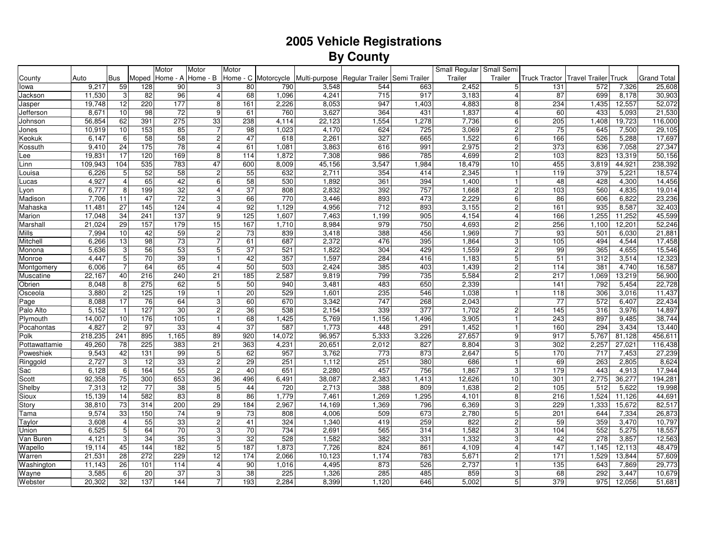## **2005 Vehicle RegistrationsBy County**

|               |                   |                         |                  | Motor           | Motor                     | Motor      |                     |                  |                 |              | Small Regular Small Semi |                                |                 |                        |                 |                    |
|---------------|-------------------|-------------------------|------------------|-----------------|---------------------------|------------|---------------------|------------------|-----------------|--------------|--------------------------|--------------------------------|-----------------|------------------------|-----------------|--------------------|
| County        | Auto              | Bus                     | Moped            | Home - A        | Home - B                  |            | Home - C Motorcycle | Multi-purpose    | Regular Trailer | Semi Trailer | Trailer                  | Trailer                        | Truck Tractor   | Travel Trailer   Truck |                 | <b>Grand Total</b> |
| lowa          | 9,217             | 59                      | 128              | 90              | 3                         | 80         | 790                 | 3,548            | 544             | 663          | 2,452                    | 5 <sup>1</sup>                 | 131             | 572                    | 7,326           | 25,608             |
| Jackson       | 11,530            | 3                       | 82               | 96              | $\overline{4}$            | 68         | 1,096               | 4,241            | 715             | 917          | 3,183                    | 4                              | 87              | 699                    | 8,178           | 30,903             |
| Jasper        | 19,748            | $\overline{12}$         | 220              | 177             | 8                         | 161        | 2,226               | 8,053            | 947             | 1,403        | 4,883                    | 8                              | 234             | 1,435                  | 12,557          | 52,072             |
| Jefferson     | 8,671             | 10                      | 98               | $\overline{72}$ | 9                         | 61         | 760                 | 3,627            | 364             | 431          | 1,837                    | $\overline{4}$                 | 60              | 433                    | 5,093           | 21,530             |
| Johnson       | 56,854            | 62                      | 391              | 275             | 33                        | 238        | 4,114               | 22,123           | 1,554           | 1,278        | 7,736                    | $6 \overline{6}$               | 205             | 1,408                  | 19,723          | 116,000            |
| Jones         | 10,919            | 10                      | 153              | 85              | $\overline{7}$            | 98         | 1,023               | 4,170            | 624             | 725          | 3,069                    | $\overline{c}$                 | $\overline{75}$ | 645                    | 7,500           | 29,105             |
| Keokuk        | 6,147             | 6                       | 58               | 58              | $\overline{c}$            | 47         | 618                 | 2,261            | 327             | 665          | 1,522                    | $6 \overline{6}$               | 166             | 526                    | 5,288           | 17,697             |
| Kossuth       | 9,410             | 24                      | 175              | 78              | $\overline{4}$            | 61         | 1,081               | 3,863            | 616             | 991          | 2,975                    | 2 <sub>1</sub>                 | 373             | 636                    | 7,058           | 27,347             |
| Lee           | 19,831            | 17                      | 120              | 169             | 8                         | 114        | 1,872               | 7,308            | 986             | 785          | 4,699                    | 2 <sub>1</sub>                 | 103             | 823                    | 13,319          | 50,156             |
| Linn          | 109,943           | 104                     | 535              | 783             | 47                        | 600        | 8,009               | 45,156           | 3,547           | 1,984        | 18,479                   | 10                             | 455             | 3,819                  | 44,921          | 238,392            |
| -ouisa        | 6,226             | 5                       | 52               | 58              | $\sqrt{2}$                | 55         | 632                 | 2,711            | 354             | 414          | 2,345                    | $\mathbf{1}$                   | 119             | 379                    | 5,221           | 18,574             |
| Lucas         | 4,927             | $\overline{\mathbf{4}}$ | 65               | 42              | 6                         | 58         | 530                 | 1,892            | 361             | 394          | 1,400                    | $\mathbf{1}$                   | 48              | 428                    | 4,300           | 14,456             |
| Lyon          | 6,777             | 8                       | 199              | 32              | $\overline{4}$            | 37         | 808                 | 2,832            | 392             | 757          | 1,668                    | $\overline{2}$                 | 103             | 560                    | 4,835           | 19,014             |
| Madison       | 7.706             | 11                      | 47               | $\overline{72}$ | 3                         | 66         | 770                 | 3,446            | 893             | 473          | 2,229                    | 6                              | 86              | 606                    | 6,822           | 23,236             |
| Mahaska       | 11,481            | 27                      | $\overline{145}$ | 124             | $\overline{4}$            | 92         | 1,129               | 4,956            | 712             | 893          | 3,155                    | 2                              | 161             | 935                    | 8,587           | 32,403             |
| Marion        | 17.048            | 34                      | 241              | 137             | 9                         | 125        | 1,607               | 7,463            | 1,199           | 905          | 4,154                    | 4                              | 166             | 1,255                  | 11,252          | 45,599             |
| Marshall      | 21,024            | 29                      | 157              | 179             | 15                        | 167        | 1,710               | 8,984            | 979             | 750          | 4,693                    | $\overline{c}$                 | 256             | 1,100                  | 12,201          | 52,246             |
| Mills         | 7,994             | 10                      | 42               | 59              | $\overline{2}$            | 73         | 839                 | 3,418            | 388             | 456          | 1,969                    | $\overline{7}$                 | 93              | 501                    | 6,030           | 21,881             |
| Mitchell      | 6,266             | 13                      | 98               | 73              |                           | 61         | 687                 | 2,372            | 476             | 395          | 1,864                    | $\mathbf{3}$                   | 105             | 494                    | 4,544           | 17,458             |
| Monona        | 5,636             | 3                       | 56               | 53              | 5                         | 37         | 521                 | 1,822            | 304             | 429          | 1,559                    | $\overline{c}$                 | 99              | 365                    | 4,655           | 15,546             |
| Monroe        | 4,447             | 5                       | 70               | 39              |                           | 42         | 357                 | 1,597            | 284             | 416          | 1,183                    | 5                              | 51              | 312                    | 3,514           | 12,323             |
| Montgomery    | 6,006             | $\overline{7}$          | 64               | 65              | $\overline{4}$            | 50         | 503                 | 2,424            | 385             | 403          | 1,439                    | $\overline{c}$                 | 114             | 381                    | 4,740           | 16,587             |
| Muscatine     | 22,167            | 40                      | 216              | 240             | 21                        | 185        | 2,587               | 9,819            | 799             | 735          | 5,584                    | $\overline{c}$                 | 217             | 1,069                  | 13,219          | 56,900             |
| Obrien        | 8,048             | 8                       | 275              | 62              | $\overline{5}$            | 50         | 940                 | 3,481            | 483             | 650          | 2,339                    |                                | 141             | 792                    | 5,454           | 22,728             |
| Osceola       | 3,880             | $\overline{c}$          | 125              | 19              | $\mathbf{1}$              | 20         | 529                 | 1,601            | 235             | 546          | 1,038                    | 11                             | 118             | 306                    | 3,016           | 11,437             |
| Page          | 8,088             | 17                      | 76               | 64              | $\ensuremath{\mathsf{3}}$ | 60         | 670                 | 3,342            | 747             | 268          | 2,043                    |                                | 77              | 572                    | 6,407           | 22,434             |
| Palo Alto     | 5,152             | $\mathbf{1}$            | 127              | 30              | $\sqrt{2}$                | 36         | 538                 | 2,154            | 339             | 377          | 1,702                    | 2 <sub>l</sub>                 | 145             | 316                    | 3,976           | 14,897             |
| Plymouth      | 14,007            | 10                      | 176              | 105             | $\mathbf{1}$              | 68         | 1,425               | 5,769            | 1,156           | 1,496        | 3,905                    | 1                              | 243             | 897                    | 9,485           | 38,744             |
| Pocahontas    | 4,827             | $\overline{2}$          | 97               | 33              | $\overline{4}$            | 37         | 587                 | 1,773            | 448             | 291          | 1,452                    | $\mathbf{1}$                   | 160             | 294                    | 3,434           | 13,440             |
| Polk          | 218,235<br>49,260 | 241<br>$\overline{78}$  | 895<br>225       | 1,165<br>383    | 89<br>21                  | 920<br>363 | 14,072              | 96,957<br>20,651 | 5,333<br>2,012  | 3,226<br>827 | 27,657<br>8,804          | 9 <sup>1</sup><br>$\mathbf{3}$ | 917<br>302      | 5,767<br>2,257         | 81,128          | 456,611            |
| Pottawattamie |                   | 42                      |                  | 99              |                           |            | 4,231               |                  |                 |              | 2,647                    |                                |                 |                        | 27,021          | 116,438            |
| Poweshiek     | 9,543<br>2,727    | 3                       | 131<br>12        | 33              | 5<br>$\overline{c}$       | 62<br>29   | 957<br>251          | 3,762<br>1,112   | 773<br>251      | 873<br>380   | 686                      | 5 <sup>1</sup><br>$\mathbf{1}$ | 170<br>69       | 717<br>263             | 7,453<br>2,805  | 27,239<br>8,624    |
| Ringgold      | 6,128             | 6                       | 164              | 55              | $\overline{c}$            | 40         | 651                 | 2,280            | 457             | 756          | 1,867                    | 3                              | 179             | 443                    |                 | 17,944             |
| Sac<br>Scott  | 92,358            | 75                      | 300              | 653             | 36                        | 496        | 6,491               | 38,087           | 2,383           | 1,413        | 12,626                   | 10                             | 301             | 2,775                  | 4,913<br>36,277 | 194,281            |
| Shelby        | 7,313             | $\overline{12}$         | $\overline{77}$  | 38              | 5                         | 44         | 720                 | 2,713            | 388             | 809          | 1,638                    | $\overline{c}$                 | 105             | 512                    | 5,622           | 19,998             |
| Sioux         | 15,139            | 14                      | 582              | 83              | 8                         | 86         | 1,779               | 7,461            | 1,269           | 1,295        | 4,101                    | 8                              | 216             | 1,524                  | 11,126          | 44,691             |
| Story         | 38,810            | 73                      | 314              | 200             | 29                        | 184        | 2,967               | 14,169           | 1,369           | 796          | 6,369                    | 3                              | 229             | 1,333                  | 15,672          | 82,517             |
| Tama          | 9,574             | 33                      | 150              | 74              | 9                         | 73         | 808                 | 4,006            | 509             | 673          | 2,780                    | 5                              | 201             | 644                    | 7,334           | 26,873             |
| Taylor        | 3,608             | 4                       | 55               | 33              | $\overline{c}$            | 41         | 324                 | 1,340            | 419             | 259          | 822                      | $\overline{c}$                 | 59              | 359                    | 3,470           | 10,797             |
| Union         | 6,525             | 5                       | 64               | 70              | 3                         | 70         | 734                 | 2,691            | 565             | 314          | 1,582                    | 3                              | 104             | 552                    | 5,275           | 18,557             |
| Van Buren     | 4,121             | 3                       | 34               | 35              | 3                         | 32         | 528                 | 1,582            | 382             | 331          | 1,332                    | 3                              | 42              | 278                    | 3,857           | 12,563             |
| Wapello       | 19,114            | 45                      | 144              | 182             | 5                         | 187        | 1,873               | 7,726            | 824             | 861          | 4,109                    | $\overline{4}$                 | 147             | 1,145                  | 12,113          | 48,479             |
| Warren        | 21,531            | 28                      | 272              | 229             | 12                        | 174        | 2,066               | 10,123           | 1,174           | 783          | 5,671                    | $\overline{c}$                 | 171             | 1,529                  | 13,844          | 57,609             |
| Washington    | 11,143            | 26                      | 101              | 114             | $\overline{4}$            | 90         | 1,016               | 4,495            | 873             | 526          | 2,737                    | 1                              | 135             | 643                    | 7,869           | 29,773             |
| Wayne         | 3,585             | 6                       | 20               | 37              | 3                         | 38         | 225                 | 1,326            | 285             | 485          | 859                      | 3                              | 68              | 292                    | 3,447           | 10,679             |
| Webster       | 20,302            | 32                      | 137              | 144             | $\overline{7}$            | 193        | 2,284               | 8,399            | 1,120           | 646          | 5,002                    | 5 <sup>1</sup>                 | 379             | 975                    | 12,056          | 51,681             |
|               |                   |                         |                  |                 |                           |            |                     |                  |                 |              |                          |                                |                 |                        |                 |                    |